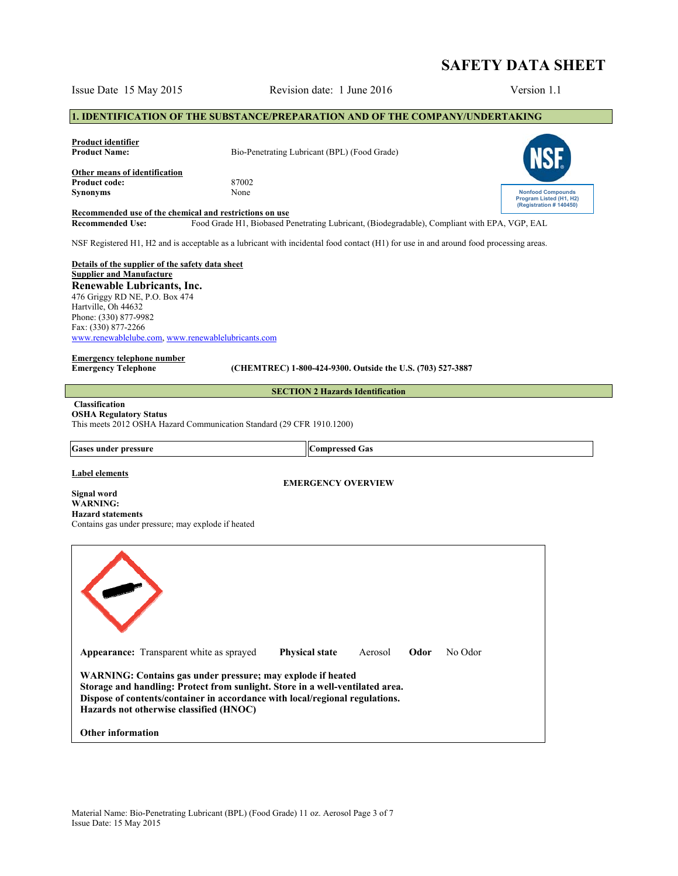# **SAFETY DATA SHEET**

# Issue Date 15 May 2015 Revision date: 1 June 2016 Version 1.1

# **1. IDENTIFICATION OF THE SUBSTANCE/PREPARATION AND OF THE COMPANY/UNDERTAKING**

| <b>Product identifier</b><br><b>Product Name:</b>       | Bio-Penetrating Lubricant (BPL) (Food Grade) |                                                     |
|---------------------------------------------------------|----------------------------------------------|-----------------------------------------------------|
| Other means of identification<br><b>Product code:</b>   | 87002                                        |                                                     |
| <b>Synonyms</b>                                         | None                                         | <b>Nonfood Compounds</b><br>Program Listed (H1, H2) |
| Recommended use of the chemical and restrictions on use |                                              | (Registration #140450)                              |

**Recommended Use:** Food Grade H1, Biobased Penetrating Lubricant, (Biodegradable), Compliant with EPA, VGP, EAL

NSF Registered H1, H2 and is acceptable as a lubricant with incidental food contact (H1) for use in and around food processing areas.

**Details of the supplier of the safety data sheet Supplier and Manufacture Renewable Lubricants, Inc.**  476 Griggy RD NE, P.O. Box 474 Hartville, Oh 44632 Phone: (330) 877-9982 Fax: (330) 877-2266 www.renewablelube.com, www.renewablelubricants.com

# **Emergency telephone number**

**Emergency Telephone (CHEMTREC) 1-800-424-9300. Outside the U.S. (703) 527-3887** 

**SECTION 2 Hazards Identification** 

#### **Classification OSHA Regulatory Status**

This meets 2012 OSHA Hazard Communication Standard (29 CFR 1910.1200)

Gases under pressure **Compressed Gas** 

#### **Label elements**

**EMERGENCY OVERVIEW** 

**Signal word WARNING: Hazard statements** Contains gas under pressure; may explode if heated

| <b>Appearance:</b> Transparent white as sprayed                                                                                                                                                                                                                         | <b>Physical state</b> | Aerosol | Odor | No Odor |
|-------------------------------------------------------------------------------------------------------------------------------------------------------------------------------------------------------------------------------------------------------------------------|-----------------------|---------|------|---------|
| WARNING: Contains gas under pressure; may explode if heated<br>Storage and handling: Protect from sunlight. Store in a well-ventilated area.<br>Dispose of contents/container in accordance with local/regional regulations.<br>Hazards not otherwise classified (HNOC) |                       |         |      |         |
| <b>Other information</b>                                                                                                                                                                                                                                                |                       |         |      |         |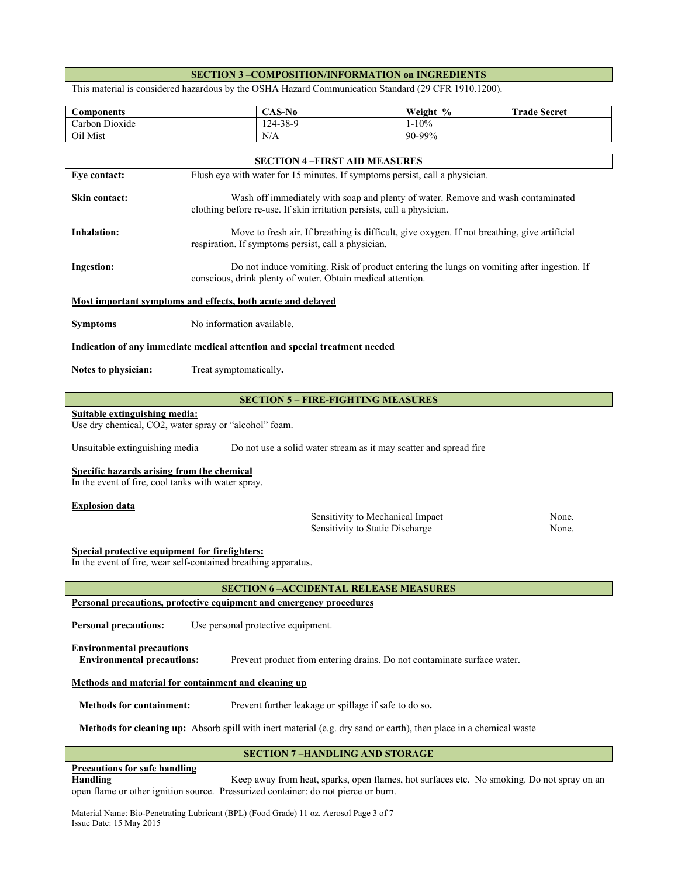# **SECTION 3 –COMPOSITION/INFORMATION on INGREDIENTS**

This material is considered hazardous by the OSHA Hazard Communication Standard (29 CFR 1910.1200).

| <b>Components</b>                                                                                                                                | $CAS-No$                                                                                                                                                   | Weight %                                                                                     | <b>Trade Secret</b> |
|--------------------------------------------------------------------------------------------------------------------------------------------------|------------------------------------------------------------------------------------------------------------------------------------------------------------|----------------------------------------------------------------------------------------------|---------------------|
| Carbon Dioxide<br>124-38-9                                                                                                                       |                                                                                                                                                            | $1 - 10\%$                                                                                   |                     |
| Oil Mist                                                                                                                                         | N/A                                                                                                                                                        | 90-99%                                                                                       |                     |
|                                                                                                                                                  | <b>SECTION 4-FIRST AID MEASURES</b>                                                                                                                        |                                                                                              |                     |
| Eye contact:                                                                                                                                     | Flush eye with water for 15 minutes. If symptoms persist, call a physician.                                                                                |                                                                                              |                     |
|                                                                                                                                                  |                                                                                                                                                            |                                                                                              |                     |
| <b>Skin contact:</b>                                                                                                                             | Wash off immediately with soap and plenty of water. Remove and wash contaminated<br>clothing before re-use. If skin irritation persists, call a physician. |                                                                                              |                     |
| Inhalation:                                                                                                                                      | respiration. If symptoms persist, call a physician.                                                                                                        | Move to fresh air. If breathing is difficult, give oxygen. If not breathing, give artificial |                     |
| <b>Ingestion:</b>                                                                                                                                | conscious, drink plenty of water. Obtain medical attention.                                                                                                | Do not induce vomiting. Risk of product entering the lungs on vomiting after ingestion. If   |                     |
|                                                                                                                                                  | Most important symptoms and effects, both acute and delayed                                                                                                |                                                                                              |                     |
| <b>Symptoms</b>                                                                                                                                  | No information available.                                                                                                                                  |                                                                                              |                     |
|                                                                                                                                                  | Indication of any immediate medical attention and special treatment needed                                                                                 |                                                                                              |                     |
| Notes to physician:                                                                                                                              | Treat symptomatically.                                                                                                                                     |                                                                                              |                     |
|                                                                                                                                                  | <b>SECTION 5 - FIRE-FIGHTING MEASURES</b>                                                                                                                  |                                                                                              |                     |
| Suitable extinguishing media:                                                                                                                    | Use dry chemical, CO2, water spray or "alcohol" foam.                                                                                                      |                                                                                              |                     |
| Unsuitable extinguishing media                                                                                                                   |                                                                                                                                                            | Do not use a solid water stream as it may scatter and spread fire                            |                     |
| Specific hazards arising from the chemical<br>In the event of fire, cool tanks with water spray.                                                 |                                                                                                                                                            |                                                                                              |                     |
| <b>Explosion data</b>                                                                                                                            |                                                                                                                                                            |                                                                                              |                     |
|                                                                                                                                                  |                                                                                                                                                            | Sensitivity to Mechanical Impact                                                             | None.               |
|                                                                                                                                                  |                                                                                                                                                            | Sensitivity to Static Discharge                                                              | None.               |
| Special protective equipment for firefighters:<br>In the event of fire, wear self-contained breathing apparatus.                                 |                                                                                                                                                            |                                                                                              |                     |
| <b>SECTION 6-ACCIDENTAL RELEASE MEASURES</b>                                                                                                     |                                                                                                                                                            |                                                                                              |                     |
| Personal precautions, protective equipment and emergency procedures                                                                              |                                                                                                                                                            |                                                                                              |                     |
| <b>Personal precautions:</b><br>Use personal protective equipment.                                                                               |                                                                                                                                                            |                                                                                              |                     |
| <b>Environmental precautions</b><br><b>Environmental precautions:</b><br>Prevent product from entering drains. Do not contaminate surface water. |                                                                                                                                                            |                                                                                              |                     |
|                                                                                                                                                  | Methods and material for containment and cleaning up                                                                                                       |                                                                                              |                     |
| <b>Methods for containment:</b>                                                                                                                  | Prevent further leakage or spillage if safe to do so.                                                                                                      |                                                                                              |                     |
| Methods for cleaning up: Absorb spill with inert material (e.g. dry sand or earth), then place in a chemical waste                               |                                                                                                                                                            |                                                                                              |                     |
| <b>SECTION 7-HANDLING AND STORAGE</b>                                                                                                            |                                                                                                                                                            |                                                                                              |                     |

# **Precautions for safe handling**

**Handling** Keep away from heat, sparks, open flames, hot surfaces etc. No smoking. Do not spray on an open flame or other ignition source. Pressurized container: do not pierce or burn.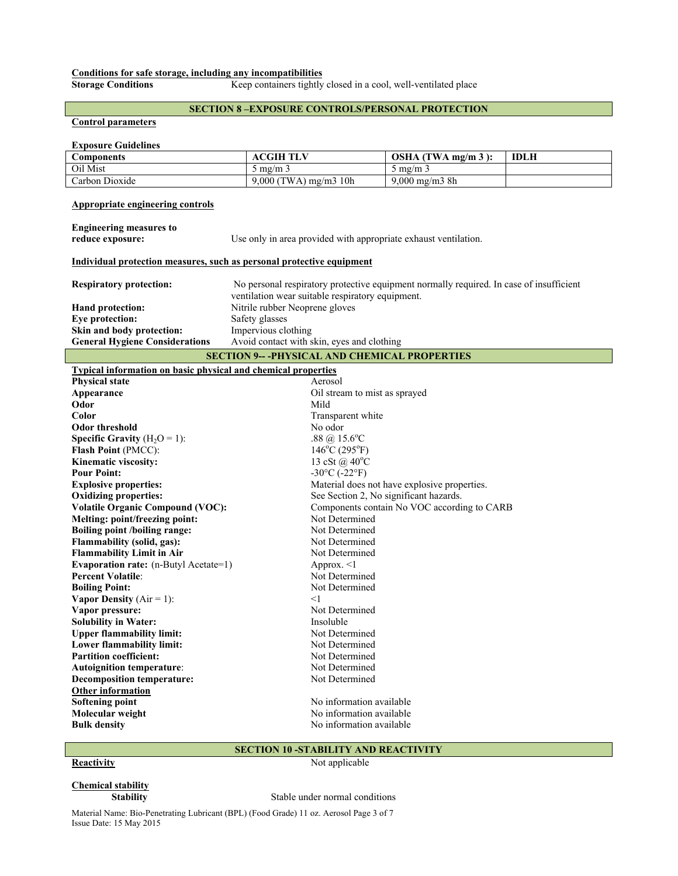# **Conditions for safe storage, including any incompatibilities**

**Storage Conditions Keep containers tightly closed in a cool, well-ventilated place** 

# **SECTION 8 –EXPOSURE CONTROLS/PERSONAL PROTECTION**

### **Control parameters**

# **Exposure Guidelines**

| Components     | <b>ACGIH TLV</b>       | $OSHA$ (TWA mg/m 3):    | <b>IDLH</b> |
|----------------|------------------------|-------------------------|-------------|
| Oil Mist       | $\rm{m}$ mg/m $\rm{m}$ | د mg/m `                |             |
| Carbon Dioxide | 9,000 (TWA) mg/m3 10h  | $9,000 \text{ mg/m}$ 8h |             |

# **Appropriate engineering controls**

| <b>Engineering measures to</b> |                                                                                                                                             |
|--------------------------------|---------------------------------------------------------------------------------------------------------------------------------------------|
| reduce exposure:               | Use only in area provided with appropriate exhaust ventilation.                                                                             |
|                                | Individual protection measures, such as personal protective equipment                                                                       |
| <b>Respiratory protection:</b> | No personal respiratory protective equipment normally required. In case of insufficient<br>ventilation wear suitable respiratory equipment. |
| Hand protection:               | Nitrile rubber Neoprene gloves                                                                                                              |
| Eye protection:                | Safety glasses                                                                                                                              |

**Skin and body protection:** Impervious clothing General Hygiene Considerations Avoid contact with skin, eyes and clothing **SECTION 9-- -PHYSICAL AND CHEMICAL PROPERTIES Typical information on basic physical and chemical properties** 

| <u>I ypical lilloi mation on basic physical and chemical properties</u> |                                              |
|-------------------------------------------------------------------------|----------------------------------------------|
| <b>Physical state</b>                                                   | Aerosol                                      |
| Appearance                                                              | Oil stream to mist as sprayed                |
| Odor                                                                    | Mild                                         |
| Color                                                                   | Transparent white                            |
| <b>Odor threshold</b>                                                   | No odor                                      |
| <b>Specific Gravity</b> ( $H_2O = 1$ ):                                 | .88 @ $15.6^{\circ}$ C                       |
| <b>Flash Point (PMCC):</b>                                              | $146^{\circ}$ C (295 $^{\circ}$ F)           |
| Kinematic viscosity:                                                    | 13 cSt @ $40^{\circ}$ C                      |
| <b>Pour Point:</b>                                                      | $-30^{\circ}$ C ( $-22^{\circ}$ F)           |
| <b>Explosive properties:</b>                                            | Material does not have explosive properties. |
| <b>Oxidizing properties:</b>                                            | See Section 2, No significant hazards.       |
| <b>Volatile Organic Compound (VOC):</b>                                 | Components contain No VOC according to CARB  |
| Melting: point/freezing point:                                          | Not Determined                               |
| <b>Boiling point /boiling range:</b>                                    | Not Determined                               |
| Flammability (solid, gas):                                              | Not Determined                               |
| <b>Flammability Limit in Air</b>                                        | Not Determined                               |
| <b>Evaporation rate:</b> (n-Butyl Acetate=1)                            | Approx. $\leq$ 1                             |
| <b>Percent Volatile:</b>                                                | Not Determined                               |
| <b>Boiling Point:</b>                                                   | Not Determined                               |
| <b>Vapor Density</b> ( $Air = 1$ ):                                     | $<$ 1                                        |
| Vapor pressure:                                                         | Not Determined                               |
| <b>Solubility in Water:</b>                                             | Insoluble                                    |
| <b>Upper flammability limit:</b>                                        | Not Determined                               |
| Lower flammability limit:                                               | Not Determined                               |
| <b>Partition coefficient:</b>                                           | Not Determined                               |
| <b>Autoignition temperature:</b>                                        | Not Determined                               |
| <b>Decomposition temperature:</b>                                       | Not Determined                               |
| <b>Other information</b>                                                |                                              |
| Softening point                                                         | No information available                     |
| Molecular weight                                                        | No information available                     |
| <b>Bulk density</b>                                                     | No information available                     |
|                                                                         |                                              |

# **SECTION 10 -STABILITY AND REACTIVITY**

# **Reactivity** Not applicable

# **Chemical stability**

**Stability** Stable under normal conditions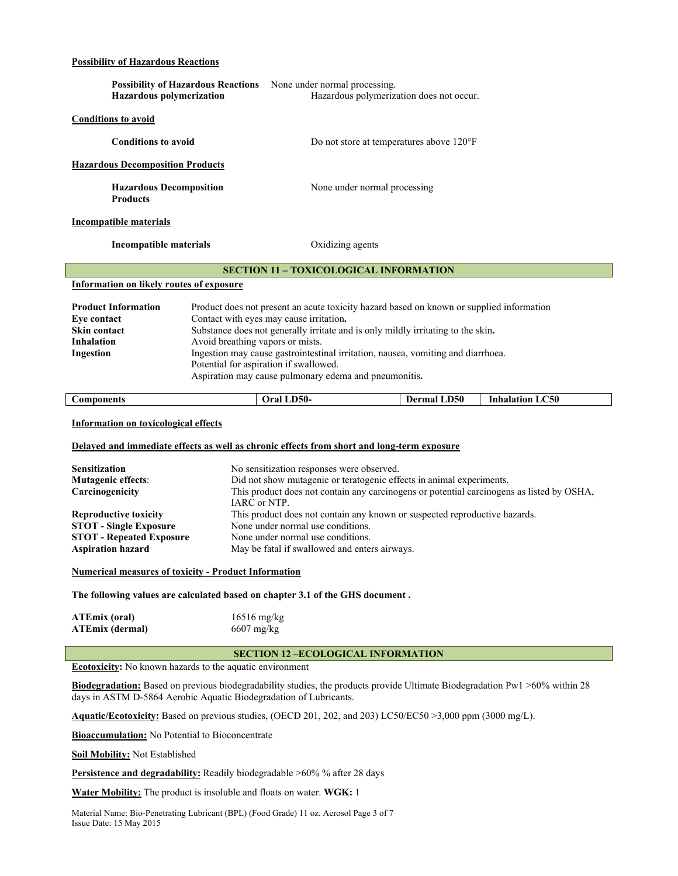# **Possibility of Hazardous Reactions**

|                                                                                                                                                                                                                                                                                                                                                                                                                                                                                                                                                   |                                                                | Possibility of Hazardous Reactions None under normal processing.                                                |                    |                        |
|---------------------------------------------------------------------------------------------------------------------------------------------------------------------------------------------------------------------------------------------------------------------------------------------------------------------------------------------------------------------------------------------------------------------------------------------------------------------------------------------------------------------------------------------------|----------------------------------------------------------------|-----------------------------------------------------------------------------------------------------------------|--------------------|------------------------|
| <b>Hazardous polymerization</b>                                                                                                                                                                                                                                                                                                                                                                                                                                                                                                                   |                                                                | Hazardous polymerization does not occur.                                                                        |                    |                        |
| <b>Conditions to avoid</b>                                                                                                                                                                                                                                                                                                                                                                                                                                                                                                                        |                                                                |                                                                                                                 |                    |                        |
| <b>Conditions to avoid</b>                                                                                                                                                                                                                                                                                                                                                                                                                                                                                                                        |                                                                |                                                                                                                 |                    |                        |
|                                                                                                                                                                                                                                                                                                                                                                                                                                                                                                                                                   |                                                                | Do not store at temperatures above 120°F                                                                        |                    |                        |
| <b>Hazardous Decomposition Products</b>                                                                                                                                                                                                                                                                                                                                                                                                                                                                                                           |                                                                |                                                                                                                 |                    |                        |
| <b>Products</b>                                                                                                                                                                                                                                                                                                                                                                                                                                                                                                                                   | <b>Hazardous Decomposition</b><br>None under normal processing |                                                                                                                 |                    |                        |
| <b>Incompatible materials</b>                                                                                                                                                                                                                                                                                                                                                                                                                                                                                                                     |                                                                |                                                                                                                 |                    |                        |
| <b>Incompatible materials</b>                                                                                                                                                                                                                                                                                                                                                                                                                                                                                                                     |                                                                | Oxidizing agents                                                                                                |                    |                        |
|                                                                                                                                                                                                                                                                                                                                                                                                                                                                                                                                                   |                                                                | <b>SECTION 11 - TOXICOLOGICAL INFORMATION</b>                                                                   |                    |                        |
| <b>Information on likely routes of exposure</b>                                                                                                                                                                                                                                                                                                                                                                                                                                                                                                   |                                                                |                                                                                                                 |                    |                        |
| <b>Product Information</b><br>Product does not present an acute toxicity hazard based on known or supplied information<br>Eye contact<br>Contact with eyes may cause irritation.<br>Skin contact<br>Substance does not generally irritate and is only mildly irritating to the skin.<br>Avoid breathing vapors or mists.<br><b>Inhalation</b><br>Ingestion may cause gastrointestinal irritation, nausea, vomiting and diarrhoea.<br>Ingestion<br>Potential for aspiration if swallowed.<br>Aspiration may cause pulmonary edema and pneumonitis. |                                                                |                                                                                                                 |                    |                        |
| <b>Components</b>                                                                                                                                                                                                                                                                                                                                                                                                                                                                                                                                 |                                                                | Oral LD50-                                                                                                      | <b>Dermal LD50</b> | <b>Inhalation LC50</b> |
| <b>Information on toxicological effects</b><br>Delayed and immediate effects as well as chronic effects from short and long-term exposure                                                                                                                                                                                                                                                                                                                                                                                                         |                                                                |                                                                                                                 |                    |                        |
| <b>Sensitization</b>                                                                                                                                                                                                                                                                                                                                                                                                                                                                                                                              |                                                                | No sensitization responses were observed.                                                                       |                    |                        |
| <b>Mutagenic effects:</b>                                                                                                                                                                                                                                                                                                                                                                                                                                                                                                                         |                                                                | Did not show mutagenic or teratogenic effects in animal experiments.                                            |                    |                        |
| Carcinogenicity                                                                                                                                                                                                                                                                                                                                                                                                                                                                                                                                   |                                                                | This product does not contain any carcinogens or potential carcinogens as listed by OSHA,                       |                    |                        |
|                                                                                                                                                                                                                                                                                                                                                                                                                                                                                                                                                   | IARC or NTP.                                                   |                                                                                                                 |                    |                        |
| <b>Reproductive toxicity</b><br><b>STOT - Single Exposure</b>                                                                                                                                                                                                                                                                                                                                                                                                                                                                                     |                                                                | This product does not contain any known or suspected reproductive hazards.<br>None under normal use conditions. |                    |                        |
| <b>STOT - Repeated Exposure</b>                                                                                                                                                                                                                                                                                                                                                                                                                                                                                                                   |                                                                | None under normal use conditions.                                                                               |                    |                        |
| <b>Aspiration hazard</b>                                                                                                                                                                                                                                                                                                                                                                                                                                                                                                                          |                                                                | May be fatal if swallowed and enters airways.                                                                   |                    |                        |
| <b>Numerical measures of toxicity - Product Information</b>                                                                                                                                                                                                                                                                                                                                                                                                                                                                                       |                                                                |                                                                                                                 |                    |                        |
| The following values are calculated based on chapter 3.1 of the GHS document.                                                                                                                                                                                                                                                                                                                                                                                                                                                                     |                                                                |                                                                                                                 |                    |                        |
| <b>ATEmix</b> (oral)<br><b>ATEmix</b> (dermal)                                                                                                                                                                                                                                                                                                                                                                                                                                                                                                    | $16516$ mg/kg<br>6607 mg/kg                                    |                                                                                                                 |                    |                        |
|                                                                                                                                                                                                                                                                                                                                                                                                                                                                                                                                                   |                                                                | <b>SECTION 12-ECOLOGICAL INFORMATION</b>                                                                        |                    |                        |

**Ecotoxicity:** No known hazards to the aquatic environment

**Biodegradation:** Based on previous biodegradability studies, the products provide Ultimate Biodegradation Pw1 >60% within 28 days in ASTM D-5864 Aerobic Aquatic Biodegradation of Lubricants.

**Aquatic/Ecotoxicity:** Based on previous studies, (OECD 201, 202, and 203) LC50/EC50 >3,000 ppm (3000 mg/L).

**Bioaccumulation:** No Potential to Bioconcentrate

**Soil Mobility:** Not Established

**Persistence and degradability:** Readily biodegradable >60% % after 28 days

**Water Mobility:** The product is insoluble and floats on water. **WGK:** 1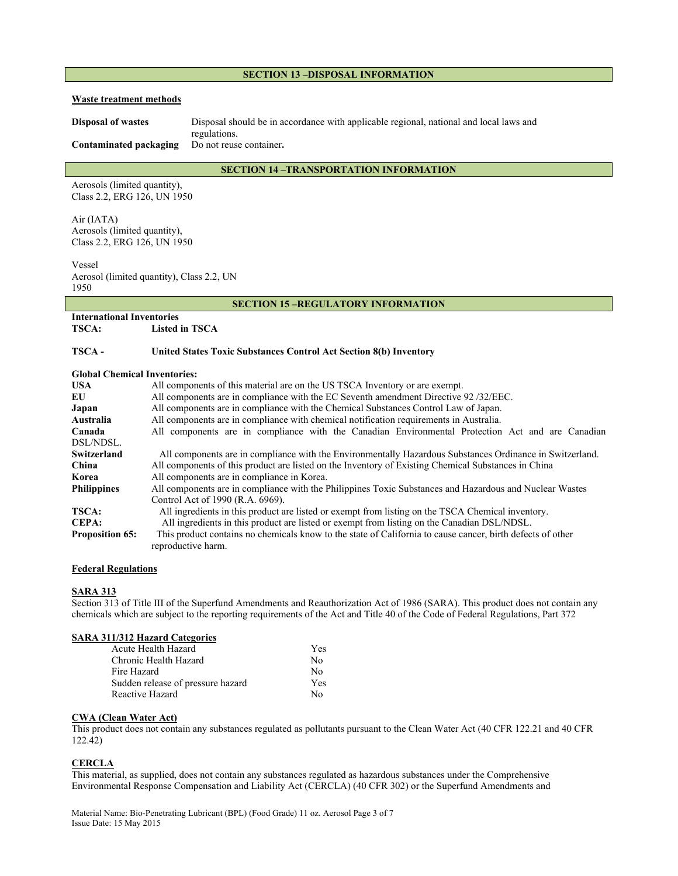#### **SECTION 13 –DISPOSAL INFORMATION**

#### **Waste treatment methods**

**Disposal of wastes** Disposal should be in accordance with applicable regional, national and local laws and regulations.

**Contaminated packaging** Do not reuse container**.**

# **SECTION 14 –TRANSPORTATION INFORMATION**

Aerosols (limited quantity), Class 2.2, ERG 126, UN 1950

Air (IATA) Aerosols (limited quantity), Class 2.2, ERG 126, UN 1950

Vessel Aerosol (limited quantity), Class 2.2, UN 1950

#### **SECTION 15 –REGULATORY INFORMATION**

# **International Inventories**

**TSCA: Listed in TSCA** 

### **TSCA - United States Toxic Substances Control Act Section 8(b) Inventory**

#### **Global Chemical Inventories:**

| <b>USA</b>             | All components of this material are on the US TSCA Inventory or are exempt.                                |  |
|------------------------|------------------------------------------------------------------------------------------------------------|--|
| EU                     | All components are in compliance with the EC Seventh amendment Directive 92/32/EEC.                        |  |
| Japan                  | All components are in compliance with the Chemical Substances Control Law of Japan.                        |  |
| Australia              | All components are in compliance with chemical notification requirements in Australia.                     |  |
| Canada                 | All components are in compliance with the Canadian Environmental Protection Act and are Canadian           |  |
| DSL/NDSL.              |                                                                                                            |  |
| Switzerland            | All components are in compliance with the Environmentally Hazardous Substances Ordinance in Switzerland.   |  |
| China                  | All components of this product are listed on the Inventory of Existing Chemical Substances in China        |  |
| Korea                  | All components are in compliance in Korea.                                                                 |  |
| <b>Philippines</b>     | All components are in compliance with the Philippines Toxic Substances and Hazardous and Nuclear Wastes    |  |
|                        | Control Act of 1990 (R.A. 6969).                                                                           |  |
| <b>TSCA:</b>           | All ingredients in this product are listed or exempt from listing on the TSCA Chemical inventory.          |  |
| <b>CEPA:</b>           | All ingredients in this product are listed or exempt from listing on the Canadian DSL/NDSL.                |  |
| <b>Proposition 65:</b> | This product contains no chemicals know to the state of California to cause cancer, birth defects of other |  |
|                        | reproductive harm.                                                                                         |  |

#### **Federal Regulations**

#### **SARA 313**

Section 313 of Title III of the Superfund Amendments and Reauthorization Act of 1986 (SARA). This product does not contain any chemicals which are subject to the reporting requirements of the Act and Title 40 of the Code of Federal Regulations, Part 372

# **SARA 311/312 Hazard Categories**

| Acute Health Hazard               | <b>Yes</b> |
|-----------------------------------|------------|
| Chronic Health Hazard             | N٥         |
| Fire Hazard                       | $N_{0}$    |
| Sudden release of pressure hazard | <b>Yes</b> |
| Reactive Hazard                   | Nο         |

# **CWA (Clean Water Act)**

This product does not contain any substances regulated as pollutants pursuant to the Clean Water Act (40 CFR 122.21 and 40 CFR 122.42)

#### **CERCLA**

This material, as supplied, does not contain any substances regulated as hazardous substances under the Comprehensive Environmental Response Compensation and Liability Act (CERCLA) (40 CFR 302) or the Superfund Amendments and